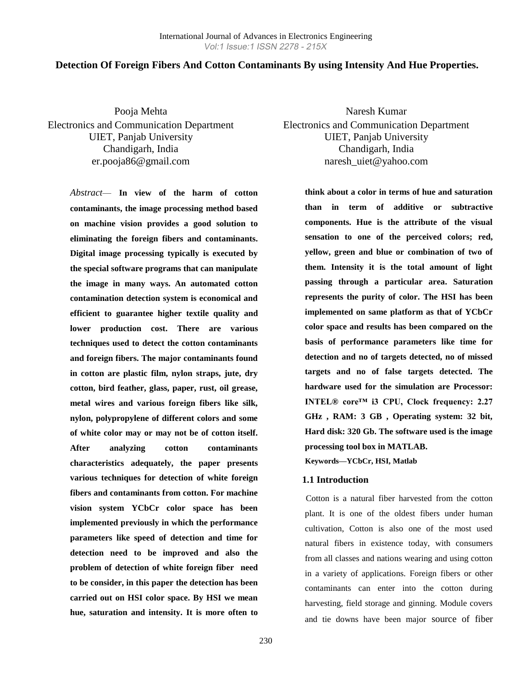#### **Detection Of Foreign Fibers And Cotton Contaminants By using Intensity And Hue Properties.**

Pooja Mehta Electronics and Communication Department UIET, Panjab University Chandigarh, India er.pooja86@gmail.com

> *Abstract*— **In view of the harm of cotton contaminants, the image processing method based on machine vision provides a good solution to eliminating the foreign fibers and contaminants. Digital image processing typically is executed by the special software programs that can manipulate the image in many ways. An automated cotton contamination detection system is economical and efficient to guarantee higher textile quality and lower production cost. There are various techniques used to detect the cotton contaminants and foreign fibers. The major contaminants found in cotton are plastic film, nylon straps, jute, dry cotton, bird feather, glass, paper, rust, oil grease, metal wires and various foreign fibers like silk, nylon, polypropylene of different colors and some of white color may or may not be of cotton itself. After analyzing cotton contaminants characteristics adequately, the paper presents various techniques for detection of white foreign fibers and contaminants from cotton. For machine vision system YCbCr color space has been implemented previously in which the performance parameters like speed of detection and time for detection need to be improved and also the problem of detection of white foreign fiber need to be consider, in this paper the detection has been carried out on HSI color space. By HSI we mean hue, saturation and intensity. It is more often to**

Naresh Kumar Electronics and Communication Department UIET, Panjab University Chandigarh, India naresh\_uiet@yahoo.com

> **think about a color in terms of hue and saturation than in term of additive or subtractive components. Hue is the attribute of the visual sensation to one of the perceived colors; red, yellow, green and blue or combination of two of them. Intensity it is the total amount of light passing through a particular area. Saturation represents the purity of color. The HSI has been implemented on same platform as that of YCbCr color space and results has been compared on the basis of performance parameters like time for detection and no of targets detected, no of missed targets and no of false targets detected. The hardware used for the simulation are Processor: INTEL® core™ i3 CPU, Clock frequency: 2.27 GHz , RAM: 3 GB , Operating system: 32 bit, Hard disk: 320 Gb. The software used is the image processing tool box in MATLAB. Keywords—YCbCr, HSI, Matlab**

#### **1.1 Introduction**

 Cotton is a natural fiber harvested from the cotton plant. It is one of the oldest fibers under human cultivation, Cotton is also one of the most used natural fibers in existence today, with consumers from all classes and nations wearing and using cotton in a variety of applications. Foreign fibers or other contaminants can enter into the cotton during harvesting, field storage and ginning. Module covers and tie downs have been major source of fiber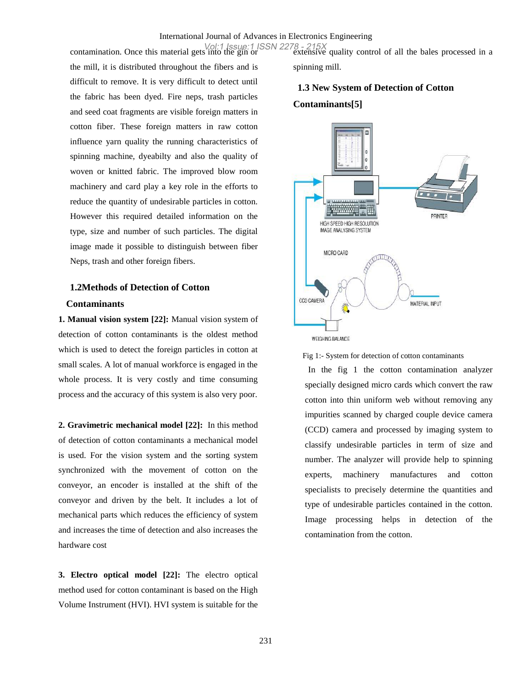the mill, it is distributed throughout the fibers and is difficult to remove. It is very difficult to detect until the fabric has been dyed. Fire neps, trash particles and seed coat fragments are visible foreign matters in cotton fiber. These foreign matters in raw cotton influence yarn quality the running characteristics of spinning machine, dyeabilty and also the quality of woven or knitted fabric. The improved blow room machinery and card play a key role in the efforts to reduce the quantity of undesirable particles in cotton. However this required detailed information on the type, size and number of such particles. The digital image made it possible to distinguish between fiber Neps, trash and other foreign fibers.

### **1.2Methods of Detection of Cotton Contaminants**

**1. Manual vision system [22]:** Manual vision system of detection of cotton contaminants is the oldest method which is used to detect the foreign particles in cotton at small scales. A lot of manual workforce is engaged in the whole process. It is very costly and time consuming process and the accuracy of this system is also very poor.

**2. Gravimetric mechanical model [22]:** In this method of detection of cotton contaminants a mechanical model is used. For the vision system and the sorting system synchronized with the movement of cotton on the conveyor, an encoder is installed at the shift of the conveyor and driven by the belt. It includes a lot of mechanical parts which reduces the efficiency of system and increases the time of detection and also increases the hardware cost

**3. Electro optical model [22]:** The electro optical method used for cotton contaminant is based on the High Volume Instrument (HVI). HVI system is suitable for the

contamination. Once this material gets into the gin or extensive quality control of all the bales processed in a Vol:1 Issue:1 ISSN 2278 - 215Xspinning mill.

## **1.3 New System of Detection of Cotton Contaminants[5]**



Fig 1:- System for detection of cotton contaminants

In the fig 1 the cotton contamination analyzer specially designed micro cards which convert the raw cotton into thin uniform web without removing any impurities scanned by charged couple device camera (CCD) camera and processed by imaging system to classify undesirable particles in term of size and number. The analyzer will provide help to spinning experts, machinery manufactures and cotton specialists to precisely determine the quantities and type of undesirable particles contained in the cotton. Image processing helps in detection of the contamination from the cotton.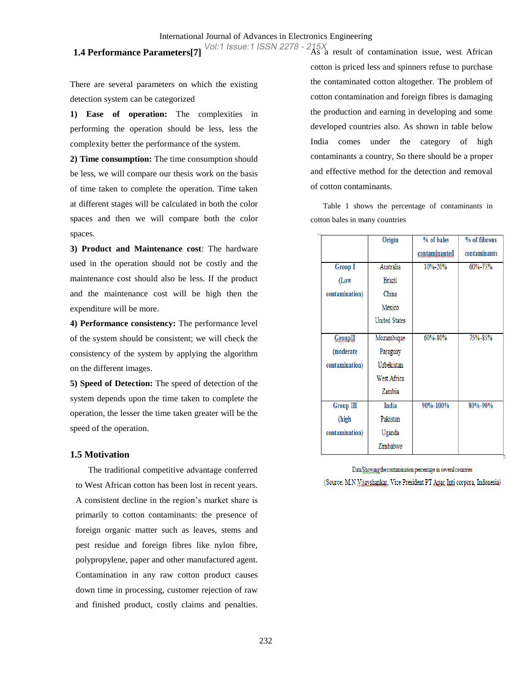There are several parameters on which the existing detection system can be categorized

**1) Ease of operation:** The complexities in performing the operation should be less, less the complexity better the performance of the system.

**2) Time consumption:** The time consumption should be less, we will compare our thesis work on the basis of time taken to complete the operation. Time taken at different stages will be calculated in both the color spaces and then we will compare both the color spaces.

**3) Product and Maintenance cost**: The hardware used in the operation should not be costly and the maintenance cost should also be less. If the product and the maintenance cost will be high then the expenditure will be more.

**4) Performance consistency:** The performance level of the system should be consistent; we will check the consistency of the system by applying the algorithm on the different images.

**5) Speed of Detection:** The speed of detection of the system depends upon the time taken to complete the operation, the lesser the time taken greater will be the speed of the operation.

#### **1.5 Motivation**

The traditional competitive advantage conferred to West African cotton has been lost in recent years. A consistent decline in the region's market share is primarily to cotton contaminants: the presence of foreign organic matter such as leaves, stems and pest residue and foreign fibres like nylon fibre, polypropylene, paper and other manufactured agent. Contamination in any raw cotton product causes down time in processing, customer rejection of raw and finished product, costly claims and penalties.

**1.4 Performance Parameters**[7] <sup>Vol:1</sup> Issue:1 ISSN 2278 - 215X<br>**As a result of contamination issue, west African** cotton is priced less and spinners refuse to purchase the contaminated cotton altogether. The problem of cotton contamination and foreign fibres is damaging the production and earning in developing and some developed countries also. As shown in table below India comes under the category of high contaminants a country, So there should be a proper and effective method for the detection and removal of cotton contaminants.

> Table 1 shows the percentage of contaminants in cotton bales in many countries

|                | Origin               | % of bales    | % of fibrous |
|----------------|----------------------|---------------|--------------|
|                |                      | contaminanted | contaminants |
| <b>Group I</b> | Australia            | 10%-20%       | 60%-75%      |
| (Low           | <b>Brazil</b>        |               |              |
| contamination) | China                |               |              |
|                | Mexico               |               |              |
|                | <b>United States</b> |               |              |
| <b>GroupII</b> | Mozambique           | 60%-80%       | 75%-85%      |
| (moderate      | Paraguay             |               |              |
| contamination) | Uzbekistan           |               |              |
|                | West Africa          |               |              |
|                | Zambia               |               |              |
| Group III      | <b>India</b>         | 90%-100%      | 80%-90%      |
| (high          | Pakistan             |               |              |
| contamination) | Uganda               |               |              |
|                | Zimbabwe             |               |              |

Data Showing the contamination percentage in several countries (Source: M.N Vijayshankar, Vice President PT Apac Inti corpora, Indonesia)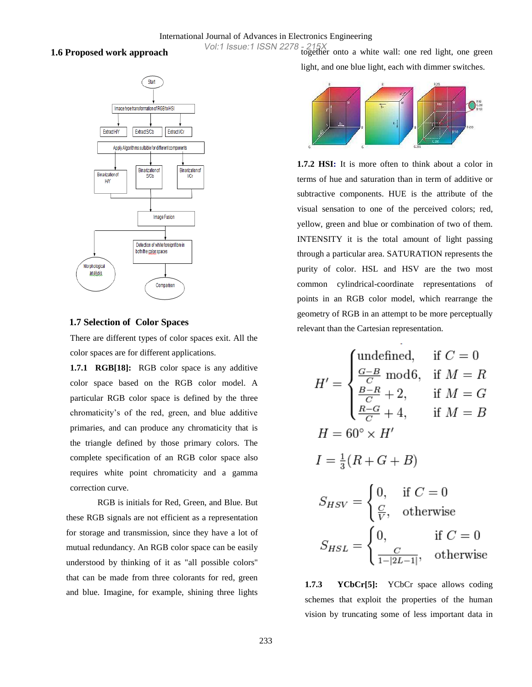#### **1.6 Proposed work approach**



#### **1.7 Selection of Color Spaces**

There are different types of color spaces exit. All the color spaces are for different applications.

**1.7.1 RGB[18]:** RGB color space is any additive color space based on the RGB color model. A particular RGB color space is defined by the three chromaticity's of the red, green, and blue additive primaries, and can produce any chromaticity that is the triangle defined by those primary colors. The complete specification of an RGB color space also requires white point chromaticity and a gamma correction curve.

RGB is initials for Red, Green, and Blue. But these RGB signals are not efficient as a representation for storage and transmission, since they have a lot of mutual redundancy. An RGB color space can be easily understood by thinking of it as "all possible colors" that can be made from three colorants for red, green and blue. Imagine, for example, shining three lights

Vol:1 Issue:1 ISSN 2278 - 215X<br>together onto a white wall: one red light, one green light, and one blue light, each with dimmer switches.



**1.7.2 HSI:** It is more often to think about a color in terms of hue and saturation than in term of additive or subtractive components. HUE is the attribute of the visual sensation to one of the perceived colors; red, yellow, green and blue or combination of two of them. INTENSITY it is the total amount of light passing through a particular area. SATURATION represents the purity of color. HSL and HSV are the two most common cylindrical-coordinate representations of points in an RGB color model, which rearrange the geometry of RGB in an attempt to be more perceptually relevant than the Cartesian representation.

$$
H' = \begin{cases} \text{undefined,} & \text{if } C = 0 \\ \frac{G - B}{C} \text{ mod}6, & \text{if } M = R \\ \frac{B - R}{C} + 2, & \text{if } M = G \end{cases}
$$
\n
$$
H = 60^{\circ} \times H'
$$
\n
$$
I = \frac{1}{3}(R + G + B)
$$
\n
$$
S_{HSV} = \begin{cases} 0, & \text{if } C = 0 \\ \frac{C}{V}, & \text{otherwise} \end{cases}
$$
\n
$$
S_{HSL} = \begin{cases} 0, & \text{if } C = 0 \\ \frac{C}{1 - |2L - 1|}, & \text{otherwise} \end{cases}
$$

**1.7.3 YCbCr[5]:** YCbCr space allows coding schemes that exploit the properties of the human vision by truncating some of less important data in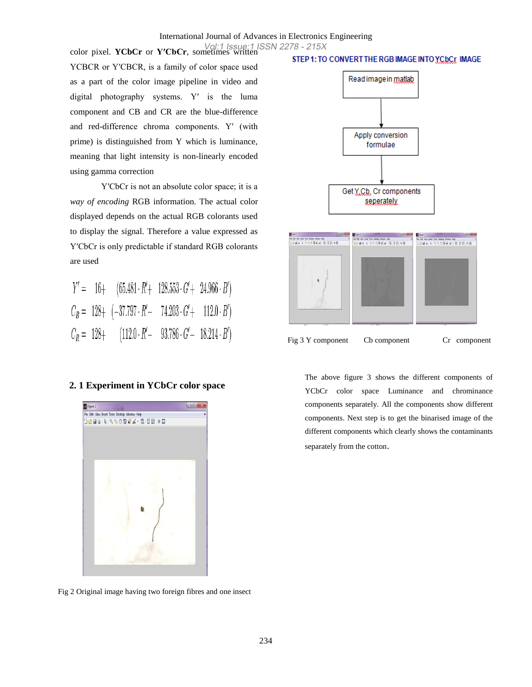YCBCR or Y′CBCR, is a family of color space used as a part of the color image pipeline in video and digital photography systems. Y′ is the luma component and CB and CR are the blue-difference and red-difference chroma components. Y′ (with prime) is distinguished from Y which is luminance, meaning that light intensity is non-linearly encoded using gamma correction

Y'CbCr is not an absolute color space; it is a *way of encoding* RGB information. The actual color displayed depends on the actual RGB colorants used to display the signal. Therefore a value expressed as Y′CbCr is only predictable if standard RGB colorants are used

|  | $Y' = 16 + (65.481 \cdot R' + 128.553 \cdot G' + 24.966 \cdot B')$  |  |
|--|---------------------------------------------------------------------|--|
|  | $C_B = 128 + (-37.797 \cdot R' - 74.203 \cdot G' + 112.0 \cdot B')$ |  |
|  | $C_R = 128 + (112.0 \cdot R' - 93.786 \cdot G' - 18.214 \cdot B')$  |  |

#### **2. 1 Experiment in YCbCr color space**



Fig 2 Original image having two foreign fibres and one insect

#### STEP 1: TO CONVERT THE RGB IMAGE INTO YCDCr IMAGE



Fig 3 Y component Cb component Cr component

The above figure 3 shows the different components of YCbCr color space Luminance and chrominance components separately. All the components show different components. Next step is to get the binarised image of the different components which clearly shows the contaminants separately from the cotton.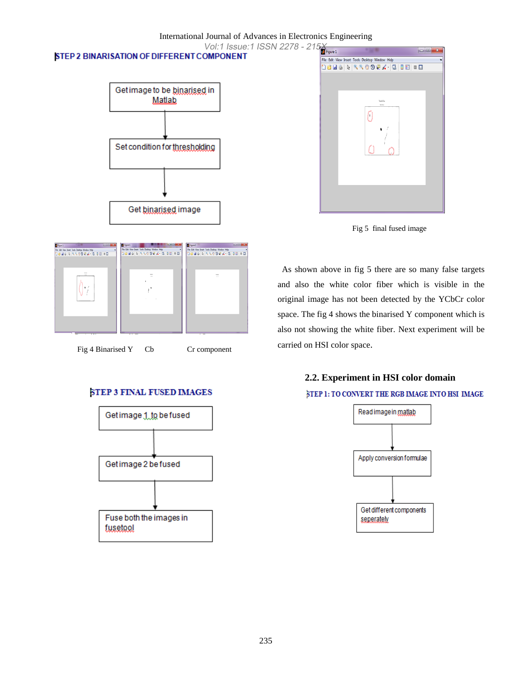### International Journal of Advances in Electronics Engineering Vol:1 Issue:1 ISSN 2278 - 215

### STEP 2 BINARISATION OF DIFFERENT COMPONENT







As shown above in fig 5 there are so many false targets and also the white color fiber which is visible in the original image has not been detected by the YCbCr color space. The fig 4 shows the binarised Y component which is also not showing the white fiber. Next experiment will be carried on HSI color space.

# **2.2. Experiment in HSI color domain** STEP 1: TO CONVERT THE RGB IMAGE INTO HSI IMAGE





Fig 4 Binarised Y Cb Cr component

### **STEP 3 FINAL FUSED IMAGES**

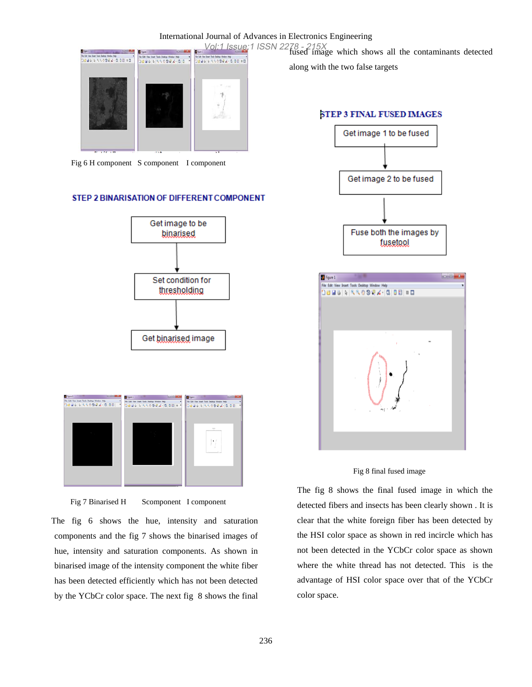

Fig 6 H component S component I component

#### STEP 2 BINARISATION OF DIFFERENT COMPONENT





Fig 7 Binarised H Scomponent I component

The fig 6 shows the hue, intensity and saturation components and the fig 7 shows the binarised images of hue, intensity and saturation components. As shown in binarised image of the intensity component the white fiber has been detected efficiently which has not been detected by the YCbCr color space. The next fig 8 shows the final

Vol:1 Issue:1 ISSN 2278 - 215X<br>fused image which shows all the contaminants detected

along with the two false targets

#### **STEP 3 FINAL FUSED IMAGES**





Fig 8 final fused image

The fig 8 shows the final fused image in which the detected fibers and insects has been clearly shown . It is clear that the white foreign fiber has been detected by the HSI color space as shown in red incircle which has not been detected in the YCbCr color space as shown where the white thread has not detected. This is the advantage of HSI color space over that of the YCbCr color space.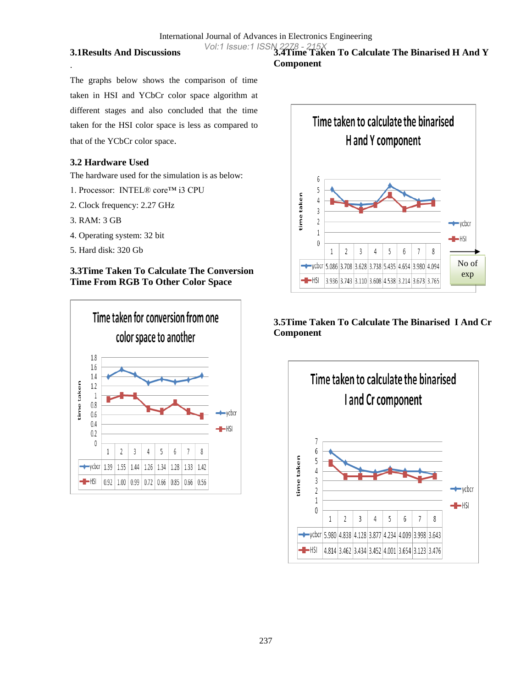#### **3.1Results And Discussions**

The graphs below shows the comparison of time taken in HSI and YCbCr color space algorithm at different stages and also concluded that the time taken for the HSI color space is less as compared to that of the YCbCr color space.

### **3.2 Hardware Used**

The hardware used for the simulation is as below:

- 1. Processor: INTEL® core™ i3 CPU
- 2. Clock frequency: 2.27 GHz
- 3. RAM: 3 GB

.

- 4. Operating system: 32 bit
- 5. Hard disk: 320 Gb

### **3.3Time Taken To Calculate The Conversion Time From RGB To Other Color Space**



### Vol:1 Issue:1 ISSN 2278 - 215X<br>**3.4Time Taken To Calculate The Binarised H And Y Component**



### **3.5Time Taken To Calculate The Binarised I And Cr Component**

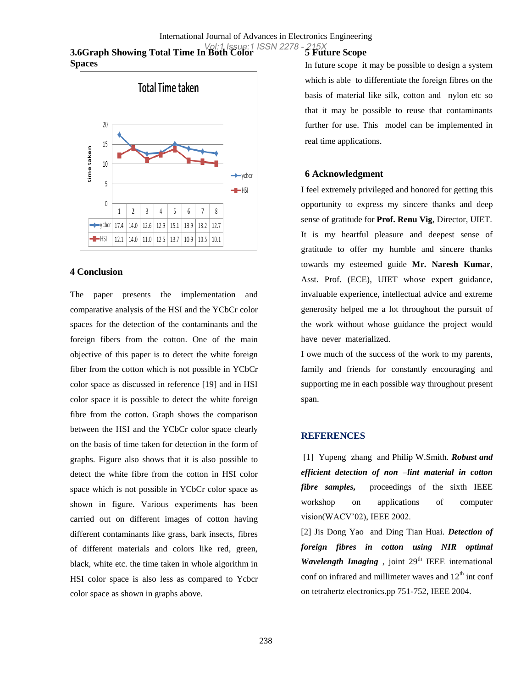### **3.6Graph Showing Total Time In Both Color**  Vol:1 Issue:1 ISSN 2278 - 215X**Spaces**



#### **4 Conclusion**

The paper presents the implementation and comparative analysis of the HSI and the YCbCr color spaces for the detection of the contaminants and the foreign fibers from the cotton. One of the main objective of this paper is to detect the white foreign fiber from the cotton which is not possible in YCbCr color space as discussed in reference [19] and in HSI color space it is possible to detect the white foreign fibre from the cotton. Graph shows the comparison between the HSI and the YCbCr color space clearly on the basis of time taken for detection in the form of graphs. Figure also shows that it is also possible to detect the white fibre from the cotton in HSI color space which is not possible in YCbCr color space as shown in figure. Various experiments has been carried out on different images of cotton having different contaminants like grass, bark insects, fibres of different materials and colors like red, green, black, white etc. the time taken in whole algorithm in HSI color space is also less as compared to Ycbcr color space as shown in graphs above.

# **5 Future Scope**

In future scope it may be possible to design a system which is able to differentiate the foreign fibres on the basis of material like silk, cotton and nylon etc so that it may be possible to reuse that contaminants further for use. This model can be implemented in real time applications.

#### **6 Acknowledgment**

I feel extremely privileged and honored for getting this opportunity to express my sincere thanks and deep sense of gratitude for **Prof. Renu Vig**, Director, UIET. It is my heartful pleasure and deepest sense of gratitude to offer my humble and sincere thanks towards my esteemed guide **Mr. Naresh Kumar**, Asst. Prof. (ECE), UIET whose expert guidance, invaluable experience, intellectual advice and extreme generosity helped me a lot throughout the pursuit of the work without whose guidance the project would have never materialized.

I owe much of the success of the work to my parents, family and friends for constantly encouraging and supporting me in each possible way throughout present span.

### **REFERENCES**

[1] Yupeng zhang and Philip W.Smith. *Robust and efficient detection of non –lint material in cotton fibre samples,* proceedings of the sixth IEEE workshop on applications of computer vision(WACV'02), IEEE 2002.

[2] Jis Dong Yao and Ding Tian Huai. *Detection of foreign fibres in cotton using NIR optimal Wavelength Imaging*, joint  $29<sup>th</sup>$  IEEE international conf on infrared and millimeter waves and  $12<sup>th</sup>$  int conf on tetrahertz electronics.pp 751-752, IEEE 2004.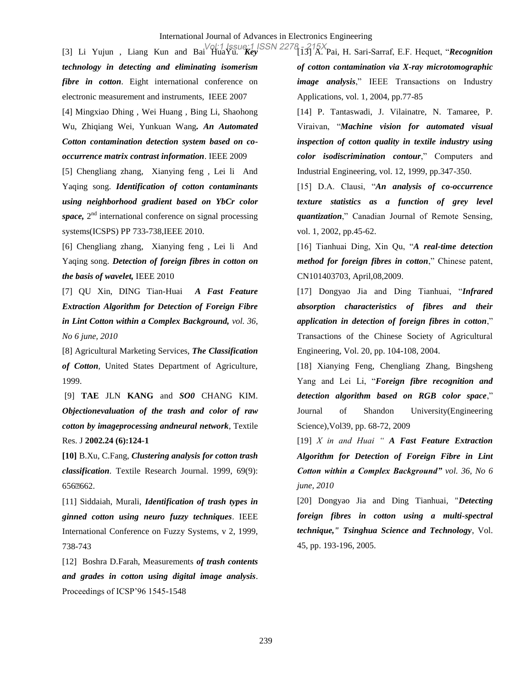[3] Li Yujun , Liang Kun and Bai HuaYu. *Key*  [13] A. Pai, H. Sari-Sarraf, E.F. Hequet, "*Recognition*  Vol:1 Issue:1 ISSN 2278 - 215X*technology in detecting and eliminating isomerism fibre in cotton*. Eight international conference on electronic measurement and instruments, IEEE 2007 [4] Mingxiao Dhing , Wei Huang , Bing Li, Shaohong Wu, Zhiqiang Wei, Yunkuan Wang*. An Automated Cotton contamination detection system based on cooccurrence matrix contrast information*. IEEE 2009

[5] Chengliang zhang, Xianying feng , Lei li And Yaqing song. *Identification of cotton contaminants using neighborhood gradient based on YbCr color*  space, 2<sup>nd</sup> international conference on signal processing systems(ICSPS) PP 733-738,IEEE 2010.

[6] Chengliang zhang, Xianying feng , Lei li And Yaqing song. *Detection of foreign fibres in cotton on the basis of wavelet,* IEEE 2010

[7] QU Xin, DING Tian-Huai *A Fast Feature Extraction Algorithm for Detection of Foreign Fibre in Lint Cotton within a Complex Background, vol. 36, No 6 june, 2010*

[8] Agricultural Marketing Services, *The Classification of Cotton*, United States Department of Agriculture, 1999.

[9] **TAE** JLN **KANG** and *SO0* CHANG KIM. *Objectionevaluation of the trash and color of raw cotton by imageprocessing andneural network*, Textile Res. J **2002.24 (6):124-1**

**[10]** B.Xu, C.Fang, *Clustering analysis for cotton trash classification*. Textile Research Journal. 1999, 69(9): 656662.

[11] Siddaiah, Murali, *Identification of trash types in ginned cotton using neuro fuzzy techniques*. IEEE International Conference on Fuzzy Systems, v 2, 1999, 738-743

[12] Boshra D.Farah, Measurements *of trash contents and grades in cotton using digital image analysis*. Proceedings of ICSP'96 1545-1548

*of cotton contamination via X-ray microtomographic image analysis*," IEEE Transactions on Industry Applications, vol. 1, 2004, pp.77-85

[14] P. Tantaswadi, J. Vilainatre, N. Tamaree, P. Viraivan, "*Machine vision for automated visual inspection of cotton quality in textile industry using color isodiscrimination contour*," Computers and Industrial Engineering, vol. 12, 1999, pp.347-350.

[15] D.A. Clausi, "*An analysis of co-occurrence texture statistics as a function of grey level quantization*," Canadian Journal of Remote Sensing, vol. 1, 2002, pp.45-62.

[16] Tianhuai Ding, Xin Qu, "*A real-time detection method for foreign fibres in cotton*," Chinese patent, CN101403703, April,08,2009.

[17] Dongyao Jia and Ding Tianhuai, "*Infrared absorption characteristics of fibres and their application in detection of foreign fibres in cotton*," Transactions of the Chinese Society of Agricultural Engineering, Vol. 20, pp. 104-108, 2004.

[18] Xianying Feng, Chengliang Zhang, Bingsheng Yang and Lei Li, "*Foreign fibre recognition and detection algorithm based on RGB color space*," Journal of Shandon University(Engineering Science),Vol39, pp. 68-72, 2009

[19] *X in and Huai " A Fast Feature Extraction Algorithm for Detection of Foreign Fibre in Lint Cotton within a Complex Background" vol. 36, No 6 june, 2010*

[20] Dongyao Jia and Ding Tianhuai, "*Detecting foreign fibres in cotton using a multi-spectral technique," Tsinghua Science and Technology*, Vol. 45, pp. 193-196, 2005.